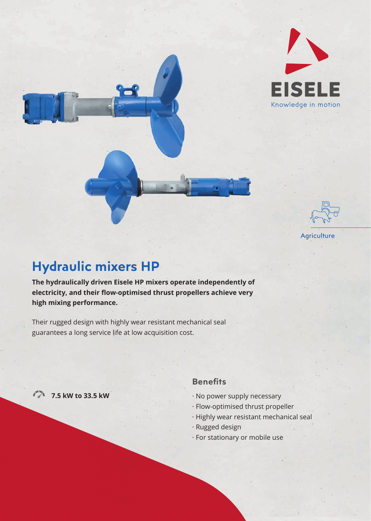



# **Hydraulic mixers HP**

**The hydraulically driven Eisele HP mixers operate independently of**  electricity, and their flow-optimised thrust propellers achieve very **high mixing performance.** 

Their rugged design with highly wear resistant mechanical seal guarantees a long service life at low acquisition cost.

**7.5 kW to 33.5 kW**

### **Benefits**

- · No power supply necessary
- · Flow-optimised thrust propeller
- · Highly wear resistant mechanical seal
- · Rugged design
- · For stationary or mobile use